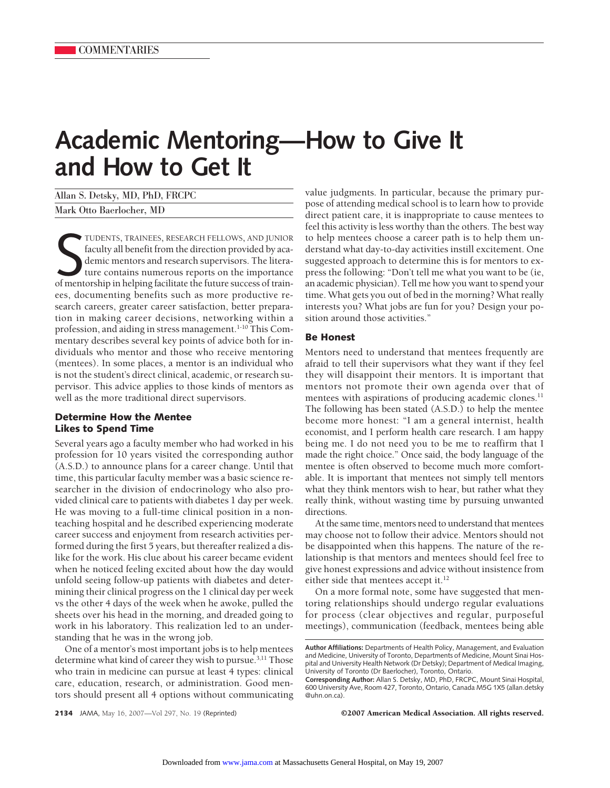# **Academic Mentoring—How to Give It and How to Get It**

Allan S. Detsky, MD, PhD, FRCPC Mark Otto Baerlocher, MD

TUDENTS, TRAINEES, RESEARCH FELLOWS, AND JUNIOR faculty all benefit from the direction provided by academic mentors and research supervisors. The literature contains numerous reports on the importance of mentorship in help TUDENTS, TRAINEES, RESEARCH FELLOWS, AND JUNIOR faculty all benefit from the direction provided by academic mentors and research supervisors. The literature contains numerous reports on the importance ees, documenting benefits such as more productive research careers, greater career satisfaction, better preparation in making career decisions, networking within a profession, and aiding in stress management.<sup>1-10</sup> This Commentary describes several key points of advice both for individuals who mentor and those who receive mentoring (mentees). In some places, a mentor is an individual who is not the student's direct clinical, academic, or research supervisor. This advice applies to those kinds of mentors as well as the more traditional direct supervisors.

#### **Determine How the Mentee Likes to Spend Time**

Several years ago a faculty member who had worked in his profession for 10 years visited the corresponding author (A.S.D.) to announce plans for a career change. Until that time, this particular faculty member was a basic science researcher in the division of endocrinology who also provided clinical care to patients with diabetes 1 day per week. He was moving to a full-time clinical position in a nonteaching hospital and he described experiencing moderate career success and enjoyment from research activities performed during the first 5 years, but thereafter realized a dislike for the work. His clue about his career became evident when he noticed feeling excited about how the day would unfold seeing follow-up patients with diabetes and determining their clinical progress on the 1 clinical day per week vs the other 4 days of the week when he awoke, pulled the sheets over his head in the morning, and dreaded going to work in his laboratory. This realization led to an understanding that he was in the wrong job.

One of a mentor's most important jobs is to help mentees determine what kind of career they wish to pursue.<sup>3,11</sup> Those who train in medicine can pursue at least 4 types: clinical care, education, research, or administration. Good mentors should present all 4 options without communicating value judgments. In particular, because the primary purpose of attending medical school is to learn how to provide direct patient care, it is inappropriate to cause mentees to feel this activity is less worthy than the others. The best way to help mentees choose a career path is to help them understand what day-to-day activities instill excitement. One suggested approach to determine this is for mentors to express the following: "Don't tell me what you want to be (ie, an academic physician). Tell me how you want to spend your time. What gets you out of bed in the morning? What really interests you? What jobs are fun for you? Design your position around those activities."

#### **Be Honest**

Mentors need to understand that mentees frequently are afraid to tell their supervisors what they want if they feel they will disappoint their mentors. It is important that mentors not promote their own agenda over that of mentees with aspirations of producing academic clones.<sup>11</sup> The following has been stated (A.S.D.) to help the mentee become more honest: "I am a general internist, health economist, and I perform health care research. I am happy being me. I do not need you to be me to reaffirm that I made the right choice." Once said, the body language of the mentee is often observed to become much more comfortable. It is important that mentees not simply tell mentors what they think mentors wish to hear, but rather what they really think, without wasting time by pursuing unwanted directions.

At the same time, mentors need to understand that mentees may choose not to follow their advice. Mentors should not be disappointed when this happens. The nature of the relationship is that mentors and mentees should feel free to give honest expressions and advice without insistence from either side that mentees accept it.<sup>12</sup>

On a more formal note, some have suggested that mentoring relationships should undergo regular evaluations for process (clear objectives and regular, purposeful meetings), communication (feedback, mentees being able

**Author Affiliations:** Departments of Health Policy, Management, and Evaluation and Medicine, University of Toronto, Departments of Medicine, Mount Sinai Hospital and University Health Network (Dr Detsky); Department of Medical Imaging, University of Toronto (Dr Baerlocher), Toronto, Ontario.

**Corresponding Author:** Allan S. Detsky, MD, PhD, FRCPC, Mount Sinai Hospital, 600 University Ave, Room 427, Toronto, Ontario, Canada M5G 1X5 (allan.detsky @uhn.on.ca).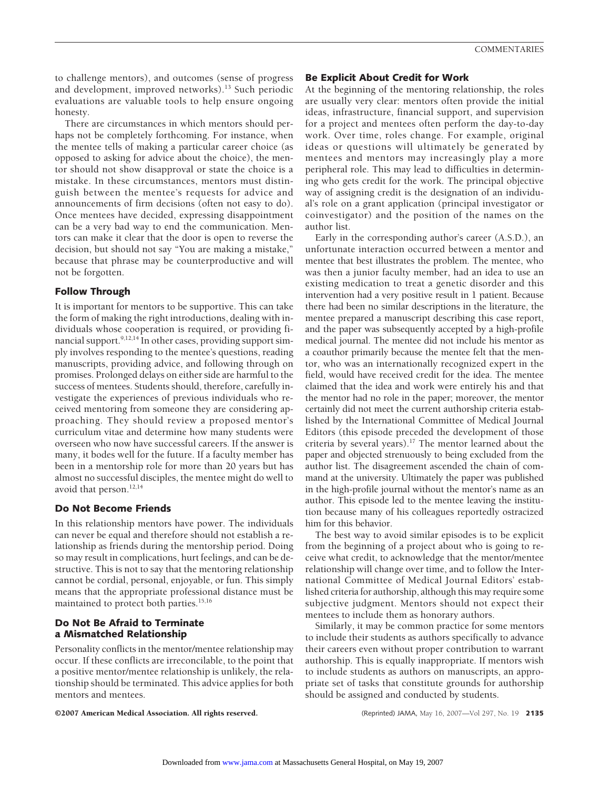to challenge mentors), and outcomes (sense of progress and development, improved networks).<sup>13</sup> Such periodic evaluations are valuable tools to help ensure ongoing honesty.

There are circumstances in which mentors should perhaps not be completely forthcoming. For instance, when the mentee tells of making a particular career choice (as opposed to asking for advice about the choice), the mentor should not show disapproval or state the choice is a mistake. In these circumstances, mentors must distinguish between the mentee's requests for advice and announcements of firm decisions (often not easy to do). Once mentees have decided, expressing disappointment can be a very bad way to end the communication. Mentors can make it clear that the door is open to reverse the decision, but should not say "You are making a mistake," because that phrase may be counterproductive and will not be forgotten.

#### **Follow Through**

It is important for mentors to be supportive. This can take the form of making the right introductions, dealing with individuals whose cooperation is required, or providing financial support.  $9,12,14$  In other cases, providing support simply involves responding to the mentee's questions, reading manuscripts, providing advice, and following through on promises. Prolonged delays on either side are harmful to the success of mentees. Students should, therefore, carefully investigate the experiences of previous individuals who received mentoring from someone they are considering approaching. They should review a proposed mentor's curriculum vitae and determine how many students were overseen who now have successful careers. If the answer is many, it bodes well for the future. If a faculty member has been in a mentorship role for more than 20 years but has almost no successful disciples, the mentee might do well to avoid that person.<sup>12,14</sup>

### **Do Not Become Friends**

In this relationship mentors have power. The individuals can never be equal and therefore should not establish a relationship as friends during the mentorship period. Doing so may result in complications, hurt feelings, and can be destructive. This is not to say that the mentoring relationship cannot be cordial, personal, enjoyable, or fun. This simply means that the appropriate professional distance must be maintained to protect both parties.<sup>15,16</sup>

## **Do Not Be Afraid to Terminate a Mismatched Relationship**

Personality conflicts in the mentor/mentee relationship may occur. If these conflicts are irreconcilable, to the point that a positive mentor/mentee relationship is unlikely, the relationship should be terminated. This advice applies for both mentors and mentees.

#### **Be Explicit About Credit for Work**

At the beginning of the mentoring relationship, the roles are usually very clear: mentors often provide the initial ideas, infrastructure, financial support, and supervision for a project and mentees often perform the day-to-day work. Over time, roles change. For example, original ideas or questions will ultimately be generated by mentees and mentors may increasingly play a more peripheral role. This may lead to difficulties in determining who gets credit for the work. The principal objective way of assigning credit is the designation of an individual's role on a grant application (principal investigator or coinvestigator) and the position of the names on the author list.

Early in the corresponding author's career (A.S.D.), an unfortunate interaction occurred between a mentor and mentee that best illustrates the problem. The mentee, who was then a junior faculty member, had an idea to use an existing medication to treat a genetic disorder and this intervention had a very positive result in 1 patient. Because there had been no similar descriptions in the literature, the mentee prepared a manuscript describing this case report, and the paper was subsequently accepted by a high-profile medical journal. The mentee did not include his mentor as a coauthor primarily because the mentee felt that the mentor, who was an internationally recognized expert in the field, would have received credit for the idea. The mentee claimed that the idea and work were entirely his and that the mentor had no role in the paper; moreover, the mentor certainly did not meet the current authorship criteria established by the International Committee of Medical Journal Editors (this episode preceded the development of those criteria by several years).17 The mentor learned about the paper and objected strenuously to being excluded from the author list. The disagreement ascended the chain of command at the university. Ultimately the paper was published in the high-profile journal without the mentor's name as an author. This episode led to the mentee leaving the institution because many of his colleagues reportedly ostracized him for this behavior.

The best way to avoid similar episodes is to be explicit from the beginning of a project about who is going to receive what credit, to acknowledge that the mentor/mentee relationship will change over time, and to follow the International Committee of Medical Journal Editors' established criteria for authorship, although this may require some subjective judgment. Mentors should not expect their mentees to include them as honorary authors.

Similarly, it may be common practice for some mentors to include their students as authors specifically to advance their careers even without proper contribution to warrant authorship. This is equally inappropriate. If mentors wish to include students as authors on manuscripts, an appropriate set of tasks that constitute grounds for authorship should be assigned and conducted by students.

©2007 American Medical Association. All rights reserved. (Reprinted) JAMA, May 16, 2007—Vol 297, No. 19 **2135**